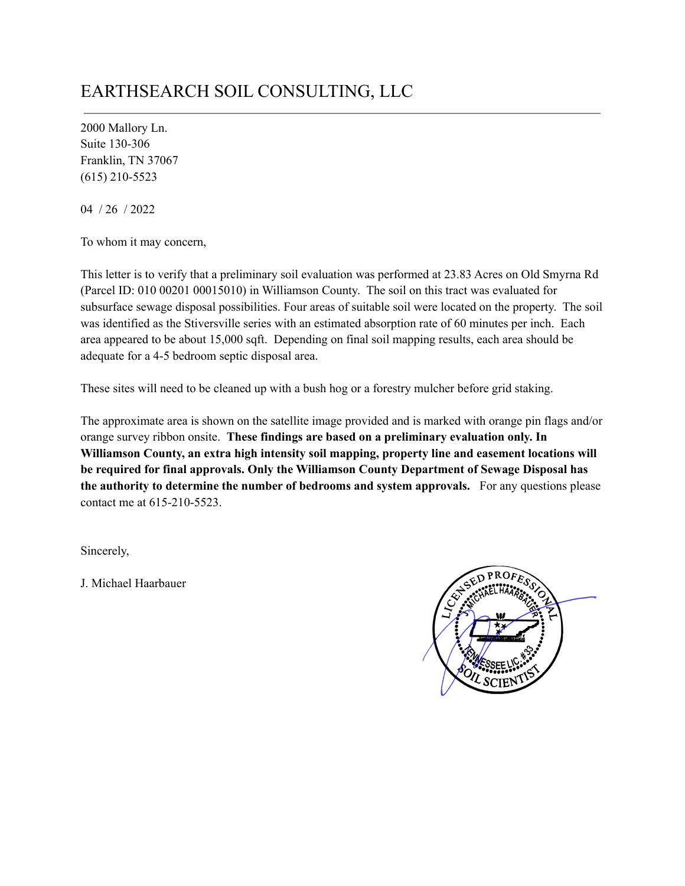## EARTHSEARCH SOIL CONSULTING, LLC

2000 Mallory Ln. Suite 130-306 Franklin, TN 37067 (615) 210-5523

04 / 26 / 2022

To whom it may concern,

This letter is to verify that a preliminary soil evaluation was performed at 23.83 Acres on Old Smyrna Rd (Parcel ID: 010 00201 00015010) in Williamson County. The soil on this tract was evaluated for subsurface sewage disposal possibilities. Four areas of suitable soil were located on the property. The soil was identified as the Stiversville series with an estimated absorption rate of 60 minutes per inch. Each area appeared to be about 15,000 sqft. Depending on final soil mapping results, each area should be adequate for a 4-5 bedroom septic disposal area.

These sites will need to be cleaned up with a bush hog or a forestry mulcher before grid staking.

The approximate area is shown on the satellite image provided and is marked with orange pin flags and/or orange survey ribbon onsite. **These findings are based on a preliminary evaluation only. In Williamson County, an extra high intensity soil mapping, property line and easement locations will be required for final approvals. Only the Williamson County Department of Sewage Disposal has the authority to determine the number of bedrooms and system approvals.** For any questions please contact me at 615-210-5523.

Sincerely,

J. Michael Haarbauer

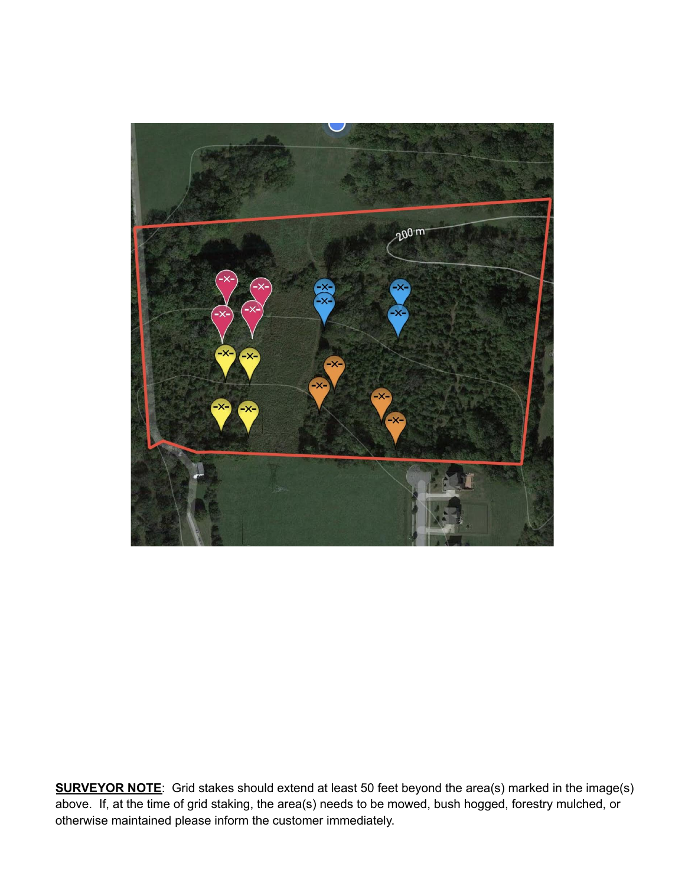

**SURVEYOR NOTE**: Grid stakes should extend at least 50 feet beyond the area(s) marked in the image(s) above. If, at the time of grid staking, the area(s) needs to be mowed, bush hogged, forestry mulched, or otherwise maintained please inform the customer immediately.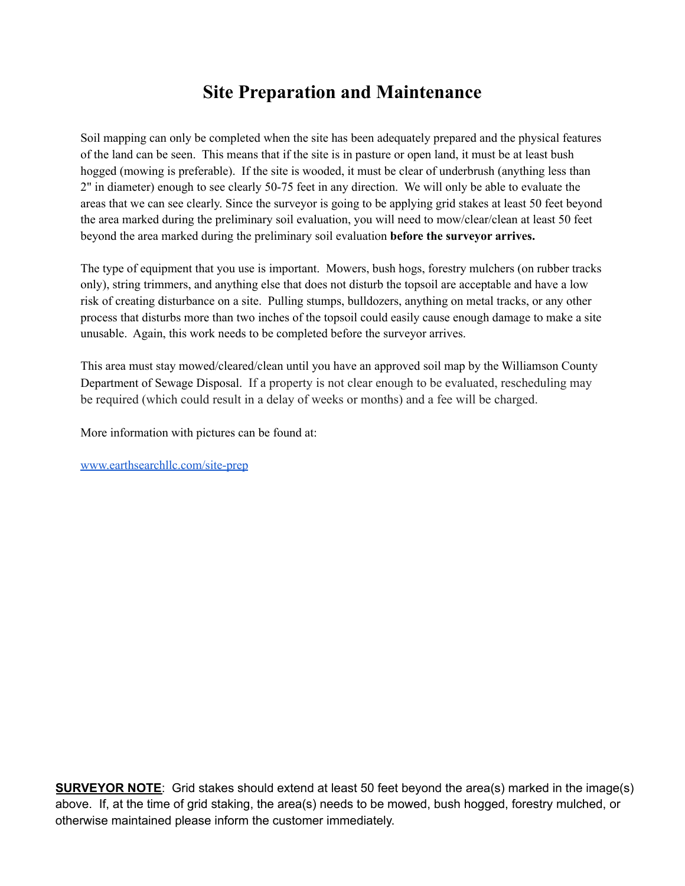## **Site Preparation and Maintenance**

Soil mapping can only be completed when the site has been adequately prepared and the physical features of the land can be seen. This means that if the site is in pasture or open land, it must be at least bush hogged (mowing is preferable). If the site is wooded, it must be clear of underbrush (anything less than 2" in diameter) enough to see clearly 50-75 feet in any direction. We will only be able to evaluate the areas that we can see clearly. Since the surveyor is going to be applying grid stakes at least 50 feet beyond the area marked during the preliminary soil evaluation, you will need to mow/clear/clean at least 50 feet beyond the area marked during the preliminary soil evaluation **before the surveyor arrives.**

The type of equipment that you use is important. Mowers, bush hogs, forestry mulchers (on rubber tracks only), string trimmers, and anything else that does not disturb the topsoil are acceptable and have a low risk of creating disturbance on a site. Pulling stumps, bulldozers, anything on metal tracks, or any other process that disturbs more than two inches of the topsoil could easily cause enough damage to make a site unusable. Again, this work needs to be completed before the surveyor arrives.

This area must stay mowed/cleared/clean until you have an approved soil map by the Williamson County Department of Sewage Disposal. If a property is not clear enough to be evaluated, rescheduling may be required (which could result in a delay of weeks or months) and a fee will be charged.

More information with pictures can be found at:

[www.earthsearchllc.com/site-prep](http://www.earthsearchllc.com/site-prep)

**SURVEYOR NOTE**: Grid stakes should extend at least 50 feet beyond the area(s) marked in the image(s) above. If, at the time of grid staking, the area(s) needs to be mowed, bush hogged, forestry mulched, or otherwise maintained please inform the customer immediately.